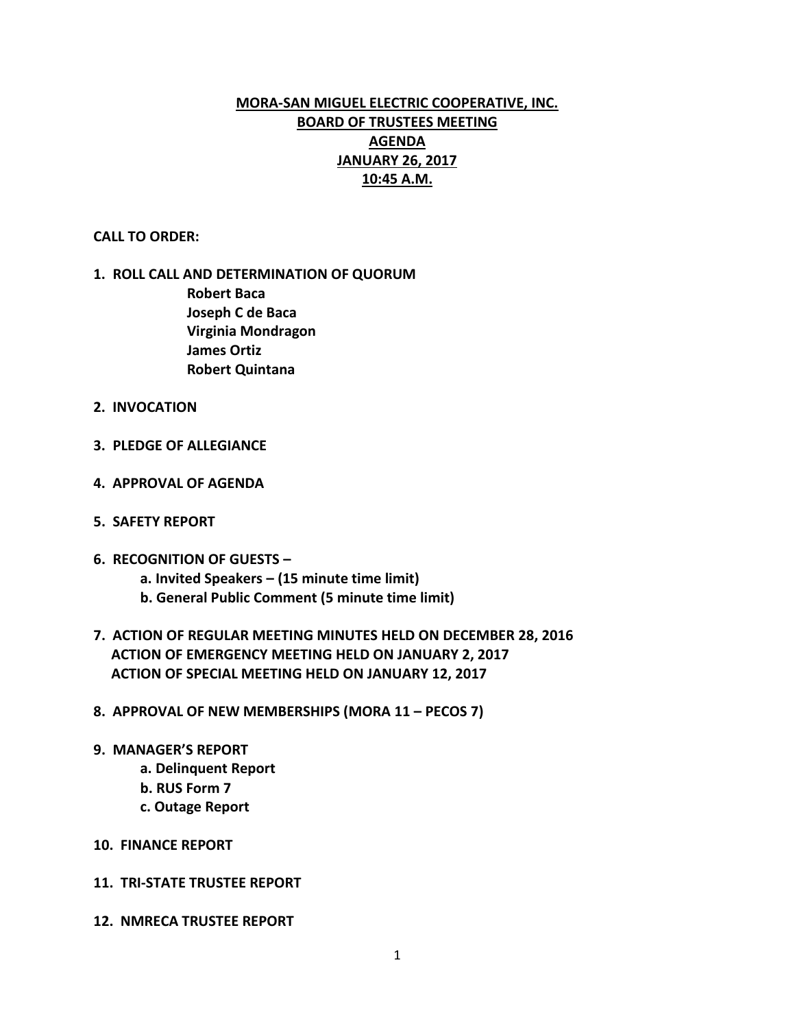# **MORA-SAN MIGUEL ELECTRIC COOPERATIVE, INC. BOARD OF TRUSTEES MEETING AGENDA JANUARY 26, 2017 10:45 A.M.**

## **CALL TO ORDER:**

# **1. ROLL CALL AND DETERMINATION OF QUORUM Robert Baca Joseph C de Baca Virginia Mondragon James Ortiz**

**Robert Quintana**

- **2. INVOCATION**
- **3. PLEDGE OF ALLEGIANCE**
- **4. APPROVAL OF AGENDA**
- **5. SAFETY REPORT**
- **6. RECOGNITION OF GUESTS –**
	- **a. Invited Speakers – (15 minute time limit)**
	- **b. General Public Comment (5 minute time limit)**
- **7. ACTION OF REGULAR MEETING MINUTES HELD ON DECEMBER 28, 2016 ACTION OF EMERGENCY MEETING HELD ON JANUARY 2, 2017 ACTION OF SPECIAL MEETING HELD ON JANUARY 12, 2017**
- **8. APPROVAL OF NEW MEMBERSHIPS (MORA 11 – PECOS 7)**
- **9. MANAGER'S REPORT**
	- **a. Delinquent Report**
	- **b. RUS Form 7**
	- **c. Outage Report**
- **10. FINANCE REPORT**
- **11. TRI-STATE TRUSTEE REPORT**
- **12. NMRECA TRUSTEE REPORT**